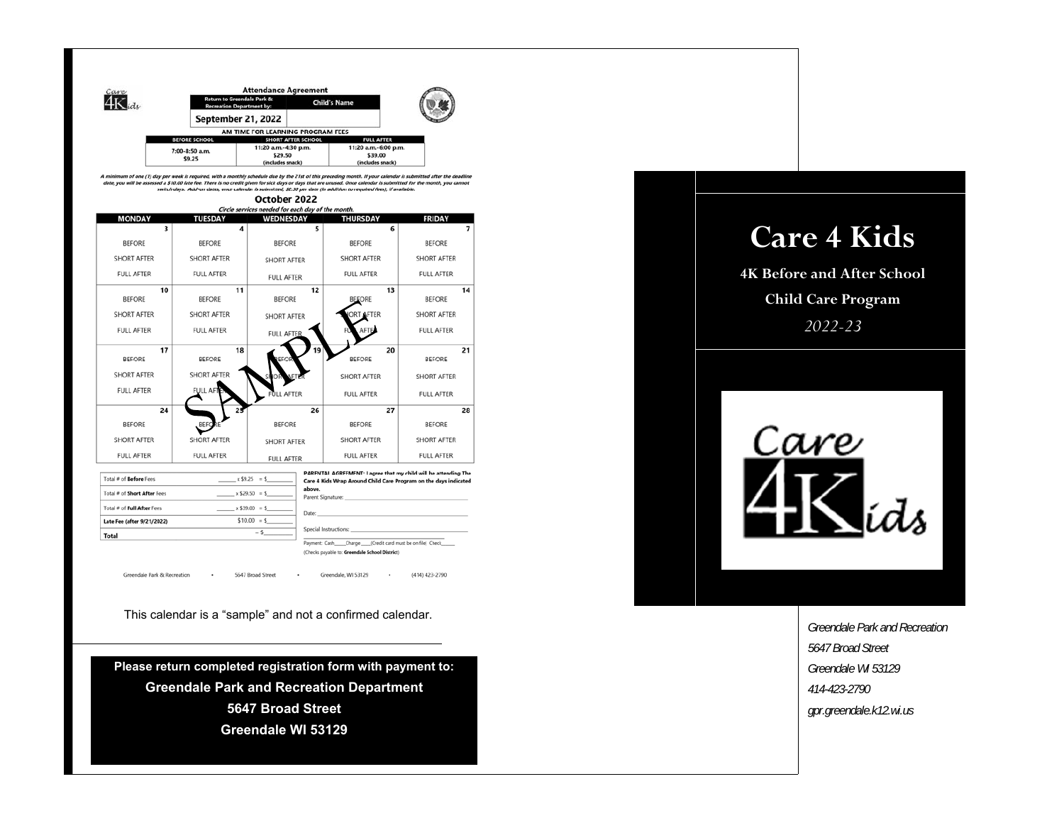

A minimum of one (1) day per week is required, with a monthly schedule due by the 21st of this preceding month. If your calendar is submitted after the deadline<br>date, you will be assessed a \$10.00 late (ee. There is no cre s ro.ov rate ree.<br>ch days. Add-or



| Total # of Before Fees      | $x $9.25 = $$    | PARENTAL AGREEMENT: I agree that my child will be attending The<br>Care 4 Kids Wrap Around Child Care Program on the days indicated |
|-----------------------------|------------------|-------------------------------------------------------------------------------------------------------------------------------------|
| Total # of Short After Fees | $x$ \$29.50 = \$ | above.<br>Parent Signature:                                                                                                         |
| Total # of Full After Fees  | $x$ \$39.00 = \$ | Date:                                                                                                                               |
| Late Fee (after 9/21/2022)  | $$10.00 = $$     |                                                                                                                                     |
| Total                       | $\sim$           | Special Instructions:                                                                                                               |
|                             |                  | Payment: Cash Charge (Credit card must be on file) Check                                                                            |
|                             |                  | (Checks payable to: Greendale School District)                                                                                      |

 $\cdot$ 

Greendale Park & Recreation  $\cdot$  Greendale, WI 53129

 $\cdot$ 

(414) 423-2790

This calendar is a "sample" and not a confirmed calendar.

5647 Broad Street

**Please return completed registration form with payment to: Greendale Park and Recreation Department 5647 Broad Street Greendale WI 53129** 

## **Care 4 Kids**

**4K Before and After School Child Care Program**  *2022-23* 



*Greendale Park and Recreation 5647 Broad Street Greendale WI 53129 414-423-2790 gpr.greendale.k12.wi.us*